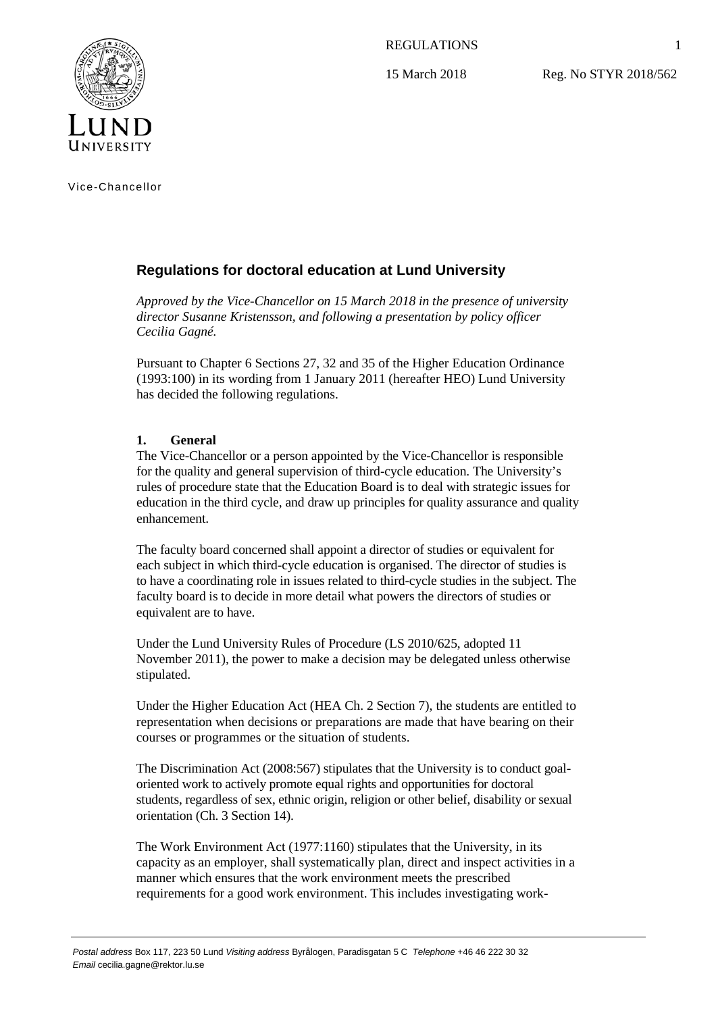REGULATIONS

15 March 2018

Reg. No STYR 2018/562



Vice-Chancellor

# **Regulations for doctoral education at Lund University**

*Approved by the Vice-Chancellor on 15 March 2018 in the presence of university director Susanne Kristensson, and following a presentation by policy officer Cecilia Gagné.*

Pursuant to Chapter 6 Sections 27, 32 and 35 of the Higher Education Ordinance (1993:100) in its wording from 1 January 2011 (hereafter HEO) Lund University has decided the following regulations.

## **1. General**

The Vice-Chancellor or a person appointed by the Vice-Chancellor is responsible for the quality and general supervision of third-cycle education. The University's rules of procedure state that the Education Board is to deal with strategic issues for education in the third cycle, and draw up principles for quality assurance and quality enhancement.

The faculty board concerned shall appoint a director of studies or equivalent for each subject in which third-cycle education is organised. The director of studies is to have a coordinating role in issues related to third-cycle studies in the subject. The faculty board is to decide in more detail what powers the directors of studies or equivalent are to have.

Under the Lund University Rules of Procedure (LS 2010/625, adopted 11 November 2011), the power to make a decision may be delegated unless otherwise stipulated.

Under the Higher Education Act (HEA Ch. 2 Section 7), the students are entitled to representation when decisions or preparations are made that have bearing on their courses or programmes or the situation of students.

The Discrimination Act (2008:567) stipulates that the University is to conduct goaloriented work to actively promote equal rights and opportunities for doctoral students, regardless of sex, ethnic origin, religion or other belief, disability or sexual orientation (Ch. 3 Section 14).

The Work Environment Act (1977:1160) stipulates that the University, in its capacity as an employer, shall systematically plan, direct and inspect activities in a manner which ensures that the work environment meets the prescribed requirements for a good work environment. This includes investigating work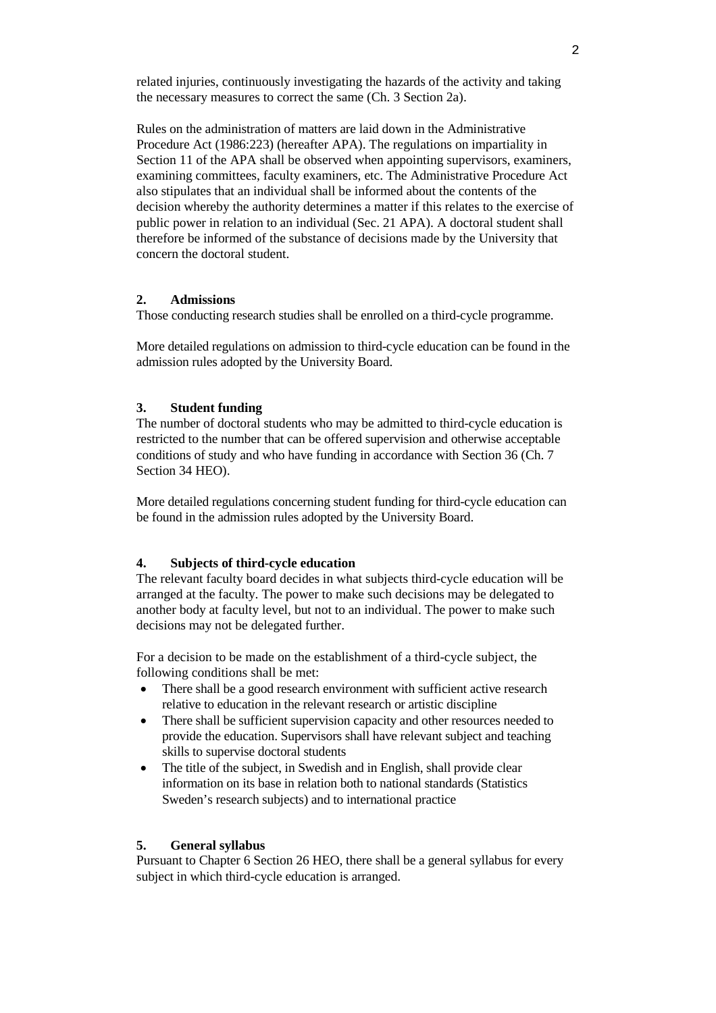related injuries, continuously investigating the hazards of the activity and taking the necessary measures to correct the same (Ch. 3 Section 2a).

Rules on the administration of matters are laid down in the Administrative Procedure Act (1986:223) (hereafter APA). The regulations on impartiality in Section 11 of the APA shall be observed when appointing supervisors, examiners, examining committees, faculty examiners, etc. The Administrative Procedure Act also stipulates that an individual shall be informed about the contents of the decision whereby the authority determines a matter if this relates to the exercise of public power in relation to an individual (Sec. 21 APA). A doctoral student shall therefore be informed of the substance of decisions made by the University that concern the doctoral student.

### **2. Admissions**

Those conducting research studies shall be enrolled on a third-cycle programme.

More detailed regulations on admission to third-cycle education can be found in the admission rules adopted by the University Board.

## **3. Student funding**

The number of doctoral students who may be admitted to third-cycle education is restricted to the number that can be offered supervision and otherwise acceptable conditions of study and who have funding in accordance with Section 36 (Ch. 7 Section 34 HEO).

More detailed regulations concerning student funding for third-cycle education can be found in the admission rules adopted by the University Board.

## **4. Subjects of third-cycle education**

The relevant faculty board decides in what subjects third-cycle education will be arranged at the faculty. The power to make such decisions may be delegated to another body at faculty level, but not to an individual. The power to make such decisions may not be delegated further.

For a decision to be made on the establishment of a third-cycle subject, the following conditions shall be met:

- There shall be a good research environment with sufficient active research relative to education in the relevant research or artistic discipline
- There shall be sufficient supervision capacity and other resources needed to provide the education. Supervisors shall have relevant subject and teaching skills to supervise doctoral students
- The title of the subject, in Swedish and in English, shall provide clear information on its base in relation both to national standards (Statistics Sweden's research subjects) and to international practice

### **5. General syllabus**

Pursuant to Chapter 6 Section 26 HEO, there shall be a general syllabus for every subject in which third-cycle education is arranged.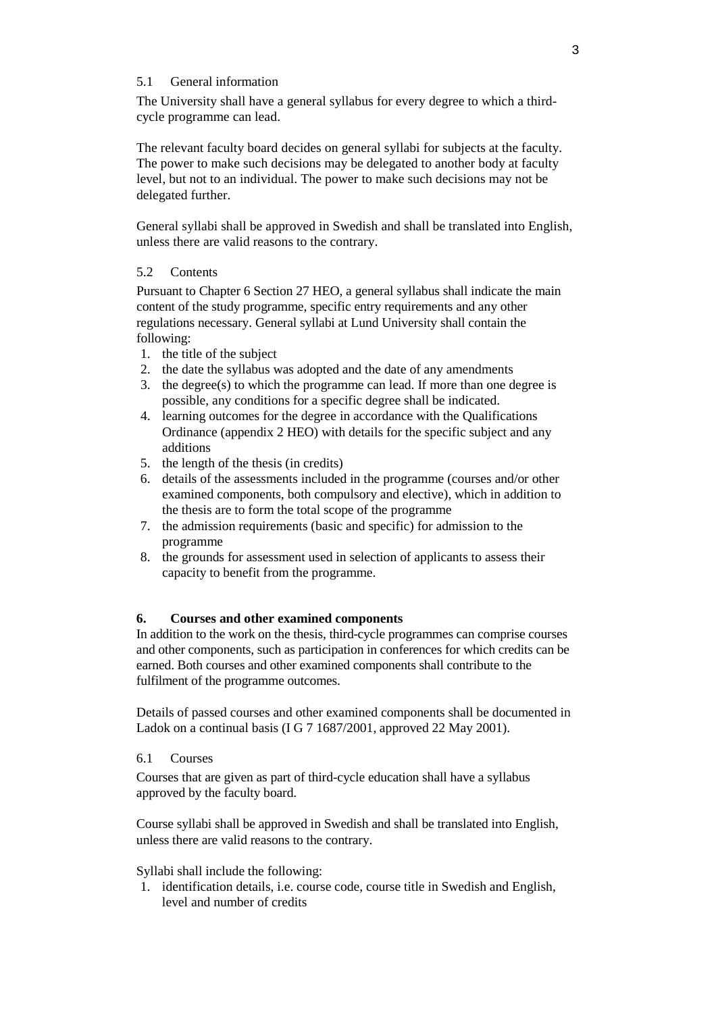## 5.1 General information

The University shall have a general syllabus for every degree to which a thirdcycle programme can lead.

The relevant faculty board decides on general syllabi for subjects at the faculty. The power to make such decisions may be delegated to another body at faculty level, but not to an individual. The power to make such decisions may not be delegated further.

General syllabi shall be approved in Swedish and shall be translated into English, unless there are valid reasons to the contrary.

## 5.2 Contents

Pursuant to Chapter 6 Section 27 HEO, a general syllabus shall indicate the main content of the study programme, specific entry requirements and any other regulations necessary. General syllabi at Lund University shall contain the following:

- 1. the title of the subject
- 2. the date the syllabus was adopted and the date of any amendments
- 3. the degree(s) to which the programme can lead. If more than one degree is possible, any conditions for a specific degree shall be indicated.
- 4. learning outcomes for the degree in accordance with the Qualifications Ordinance (appendix 2 HEO) with details for the specific subject and any additions
- 5. the length of the thesis (in credits)
- 6. details of the assessments included in the programme (courses and/or other examined components, both compulsory and elective), which in addition to the thesis are to form the total scope of the programme
- 7. the admission requirements (basic and specific) for admission to the programme
- 8. the grounds for assessment used in selection of applicants to assess their capacity to benefit from the programme.

## **6. Courses and other examined components**

In addition to the work on the thesis, third-cycle programmes can comprise courses and other components, such as participation in conferences for which credits can be earned. Both courses and other examined components shall contribute to the fulfilment of the programme outcomes.

Details of passed courses and other examined components shall be documented in Ladok on a continual basis (I G 7 1687/2001, approved 22 May 2001).

## 6.1 Courses

Courses that are given as part of third-cycle education shall have a syllabus approved by the faculty board.

Course syllabi shall be approved in Swedish and shall be translated into English, unless there are valid reasons to the contrary.

Syllabi shall include the following:

1. identification details, i.e. course code, course title in Swedish and English, level and number of credits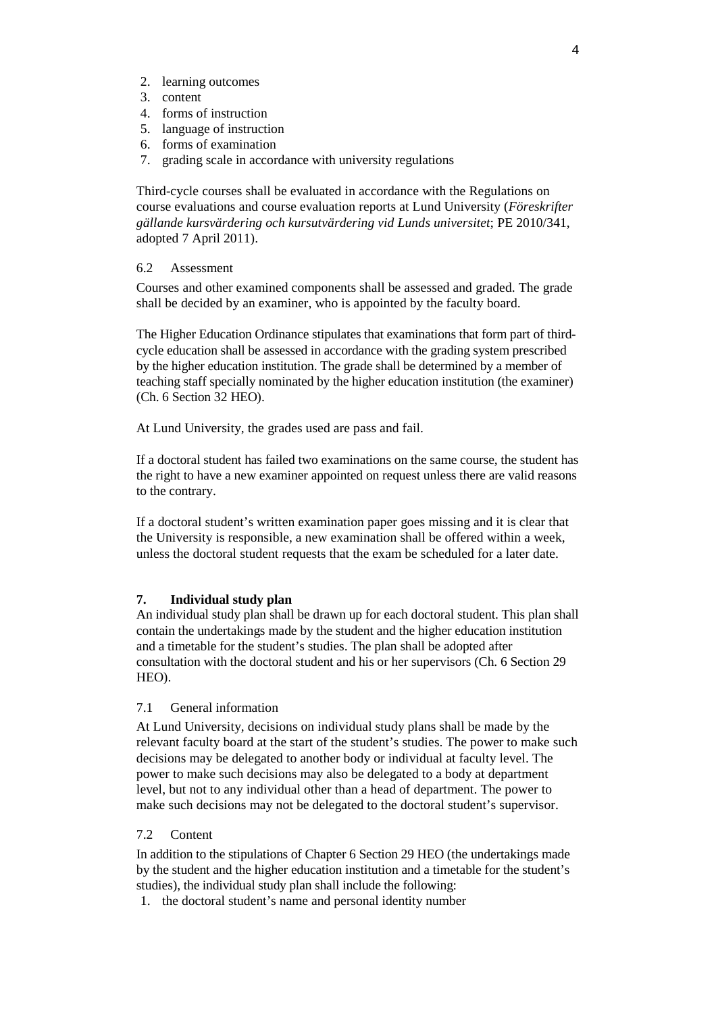- 2. learning outcomes
- 3. content
- 4. forms of instruction
- 5. language of instruction
- 6. forms of examination
- 7. grading scale in accordance with university regulations

Third-cycle courses shall be evaluated in accordance with the Regulations on course evaluations and course evaluation reports at Lund University (*Föreskrifter gällande kursvärdering och kursutvärdering vid Lunds universitet*; PE 2010/341, adopted 7 April 2011).

## 6.2 Assessment

Courses and other examined components shall be assessed and graded. The grade shall be decided by an examiner, who is appointed by the faculty board.

The Higher Education Ordinance stipulates that examinations that form part of thirdcycle education shall be assessed in accordance with the grading system prescribed by the higher education institution. The grade shall be determined by a member of teaching staff specially nominated by the higher education institution (the examiner) (Ch. 6 Section 32 HEO).

At Lund University, the grades used are pass and fail.

If a doctoral student has failed two examinations on the same course, the student has the right to have a new examiner appointed on request unless there are valid reasons to the contrary.

If a doctoral student's written examination paper goes missing and it is clear that the University is responsible, a new examination shall be offered within a week, unless the doctoral student requests that the exam be scheduled for a later date.

### **7. Individual study plan**

An individual study plan shall be drawn up for each doctoral student. This plan shall contain the undertakings made by the student and the higher education institution and a timetable for the student's studies. The plan shall be adopted after consultation with the doctoral student and his or her supervisors (Ch. 6 Section 29 HEO).

## 7.1 General information

At Lund University, decisions on individual study plans shall be made by the relevant faculty board at the start of the student's studies. The power to make such decisions may be delegated to another body or individual at faculty level. The power to make such decisions may also be delegated to a body at department level, but not to any individual other than a head of department. The power to make such decisions may not be delegated to the doctoral student's supervisor.

## 7.2 Content

In addition to the stipulations of Chapter 6 Section 29 HEO (the undertakings made by the student and the higher education institution and a timetable for the student's studies), the individual study plan shall include the following:

1. the doctoral student's name and personal identity number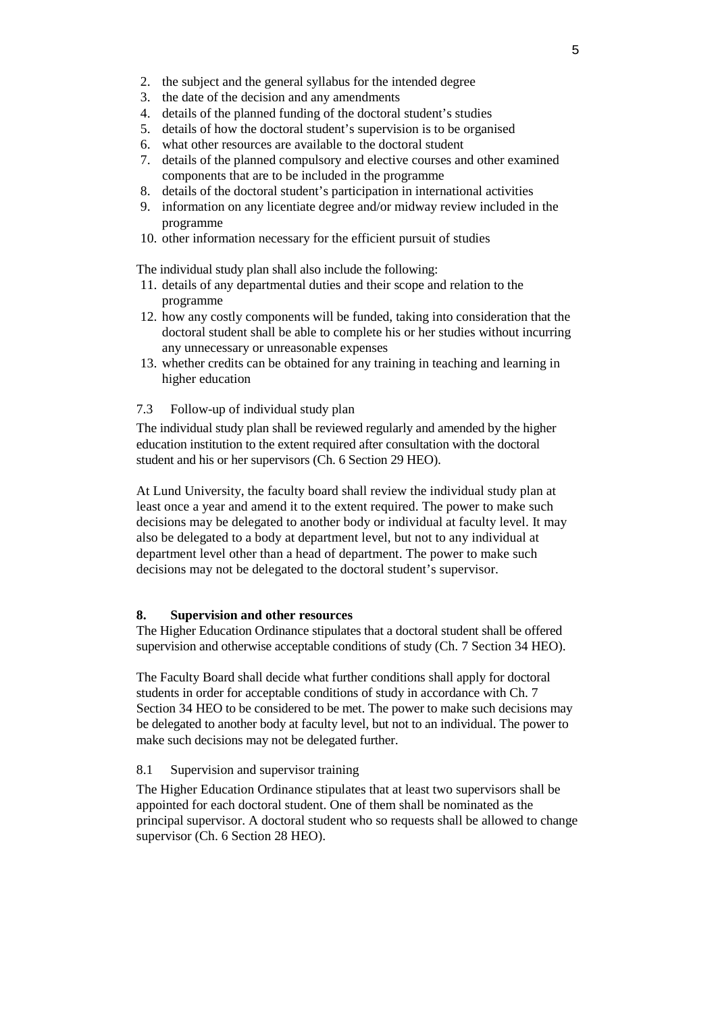- 2. the subject and the general syllabus for the intended degree
- 3. the date of the decision and any amendments
- 4. details of the planned funding of the doctoral student's studies
- 5. details of how the doctoral student's supervision is to be organised
- 6. what other resources are available to the doctoral student
- 7. details of the planned compulsory and elective courses and other examined components that are to be included in the programme
- 8. details of the doctoral student's participation in international activities
- 9. information on any licentiate degree and/or midway review included in the programme
- 10. other information necessary for the efficient pursuit of studies

The individual study plan shall also include the following:

- 11. details of any departmental duties and their scope and relation to the programme
- 12. how any costly components will be funded, taking into consideration that the doctoral student shall be able to complete his or her studies without incurring any unnecessary or unreasonable expenses
- 13. whether credits can be obtained for any training in teaching and learning in higher education
- 7.3 Follow-up of individual study plan

The individual study plan shall be reviewed regularly and amended by the higher education institution to the extent required after consultation with the doctoral student and his or her supervisors (Ch. 6 Section 29 HEO).

At Lund University, the faculty board shall review the individual study plan at least once a year and amend it to the extent required. The power to make such decisions may be delegated to another body or individual at faculty level. It may also be delegated to a body at department level, but not to any individual at department level other than a head of department. The power to make such decisions may not be delegated to the doctoral student's supervisor.

## **8. Supervision and other resources**

The Higher Education Ordinance stipulates that a doctoral student shall be offered supervision and otherwise acceptable conditions of study (Ch. 7 Section 34 HEO).

The Faculty Board shall decide what further conditions shall apply for doctoral students in order for acceptable conditions of study in accordance with Ch. 7 Section 34 HEO to be considered to be met. The power to make such decisions may be delegated to another body at faculty level, but not to an individual. The power to make such decisions may not be delegated further.

## 8.1 Supervision and supervisor training

The Higher Education Ordinance stipulates that at least two supervisors shall be appointed for each doctoral student. One of them shall be nominated as the principal supervisor. A doctoral student who so requests shall be allowed to change supervisor (Ch. 6 Section 28 HEO).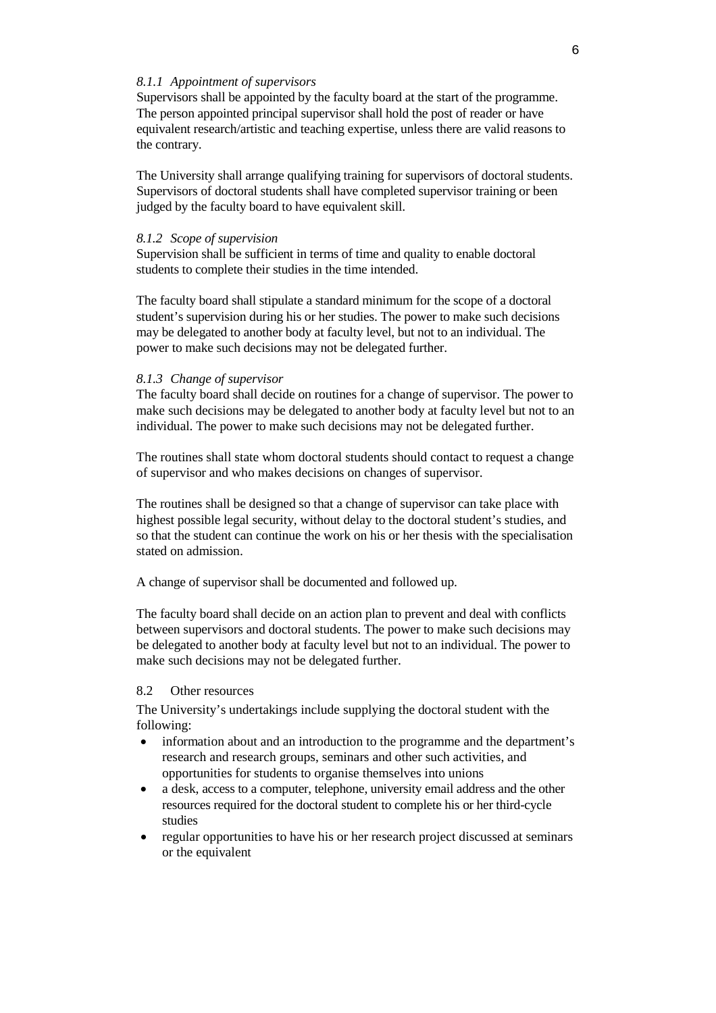### *8.1.1 Appointment of supervisors*

Supervisors shall be appointed by the faculty board at the start of the programme. The person appointed principal supervisor shall hold the post of reader or have equivalent research/artistic and teaching expertise, unless there are valid reasons to the contrary.

The University shall arrange qualifying training for supervisors of doctoral students. Supervisors of doctoral students shall have completed supervisor training or been judged by the faculty board to have equivalent skill.

### *8.1.2 Scope of supervision*

Supervision shall be sufficient in terms of time and quality to enable doctoral students to complete their studies in the time intended.

The faculty board shall stipulate a standard minimum for the scope of a doctoral student's supervision during his or her studies. The power to make such decisions may be delegated to another body at faculty level, but not to an individual. The power to make such decisions may not be delegated further.

#### *8.1.3 Change of supervisor*

The faculty board shall decide on routines for a change of supervisor. The power to make such decisions may be delegated to another body at faculty level but not to an individual. The power to make such decisions may not be delegated further.

The routines shall state whom doctoral students should contact to request a change of supervisor and who makes decisions on changes of supervisor.

The routines shall be designed so that a change of supervisor can take place with highest possible legal security, without delay to the doctoral student's studies, and so that the student can continue the work on his or her thesis with the specialisation stated on admission.

A change of supervisor shall be documented and followed up.

The faculty board shall decide on an action plan to prevent and deal with conflicts between supervisors and doctoral students. The power to make such decisions may be delegated to another body at faculty level but not to an individual. The power to make such decisions may not be delegated further.

### 8.2 Other resources

The University's undertakings include supplying the doctoral student with the following:

- information about and an introduction to the programme and the department's research and research groups, seminars and other such activities, and opportunities for students to organise themselves into unions
- a desk, access to a computer, telephone, university email address and the other resources required for the doctoral student to complete his or her third-cycle studies
- regular opportunities to have his or her research project discussed at seminars or the equivalent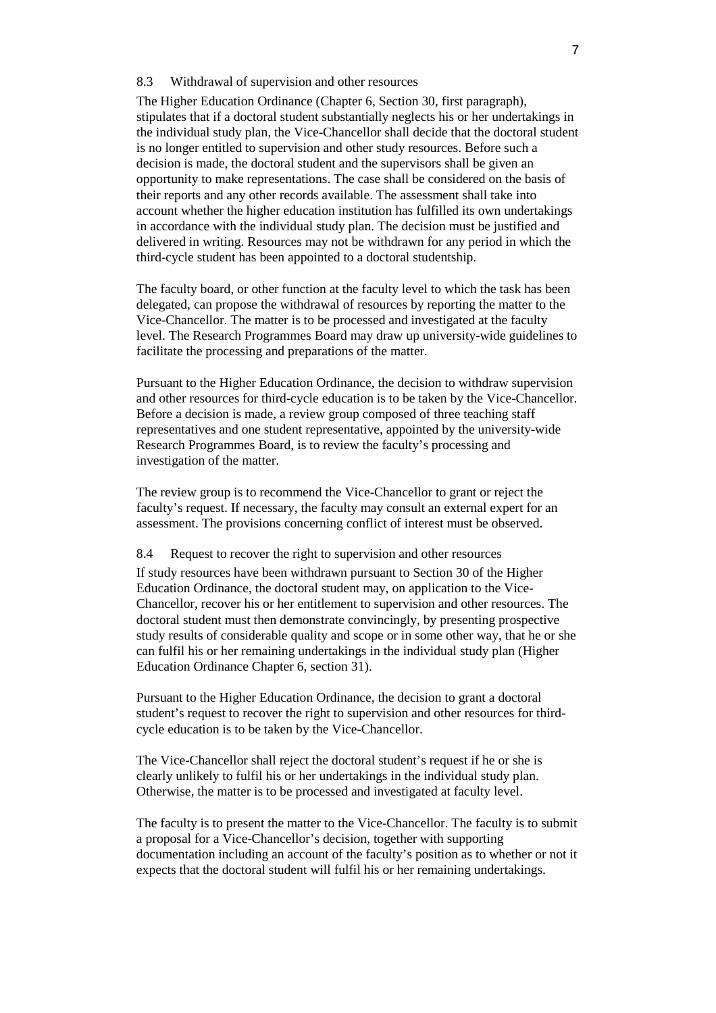#### 8.3 Withdrawal of supervision and other resources

The Higher Education Ordinance (Chapter 6, Section 30, first paragraph), stipulates that if a doctoral student substantially neglects his or her undertakings in the individual study plan, the Vice-Chancellor shall decide that the doctoral student is no longer entitled to supervision and other study resources. Before such a decision is made, the doctoral student and the supervisors shall be given an opportunity to make representations. The case shall be considered on the basis of their reports and any other records available. The assessment shall take into account whether the higher education institution has fulfilled its own undertakings in accordance with the individual study plan. The decision must be justified and delivered in writing. Resources may not be withdrawn for any period in which the third-cycle student has been appointed to a doctoral studentship.

The faculty board, or other function at the faculty level to which the task has been delegated, can propose the withdrawal of resources by reporting the matter to the Vice-Chancellor. The matter is to be processed and investigated at the faculty level. The Research Programmes Board may draw up university-wide guidelines to facilitate the processing and preparations of the matter.

Pursuant to the Higher Education Ordinance, the decision to withdraw supervision and other resources for third-cycle education is to be taken by the Vice-Chancellor. Before a decision is made, a review group composed of three teaching staff representatives and one student representative, appointed by the university-wide Research Programmes Board, is to review the faculty's processing and investigation of the matter.

The review group is to recommend the Vice-Chancellor to grant or reject the faculty's request. If necessary, the faculty may consult an external expert for an assessment. The provisions concerning conflict of interest must be observed.

#### 8.4 Request to recover the right to supervision and other resources

If study resources have been withdrawn pursuant to Section 30 of the Higher Education Ordinance, the doctoral student may, on application to the Vice-Chancellor, recover his or her entitlement to supervision and other resources. The doctoral student must then demonstrate convincingly, by presenting prospective study results of considerable quality and scope or in some other way, that he or she can fulfil his or her remaining undertakings in the individual study plan (Higher Education Ordinance Chapter 6, section 31).

Pursuant to the Higher Education Ordinance, the decision to grant a doctoral student's request to recover the right to supervision and other resources for thirdcycle education is to be taken by the Vice-Chancellor.

The Vice-Chancellor shall reject the doctoral student's request if he or she is clearly unlikely to fulfil his or her undertakings in the individual study plan. Otherwise, the matter is to be processed and investigated at faculty level.

The faculty is to present the matter to the Vice-Chancellor. The faculty is to submit a proposal for a Vice-Chancellor's decision, together with supporting documentation including an account of the faculty's position as to whether or not it expects that the doctoral student will fulfil his or her remaining undertakings.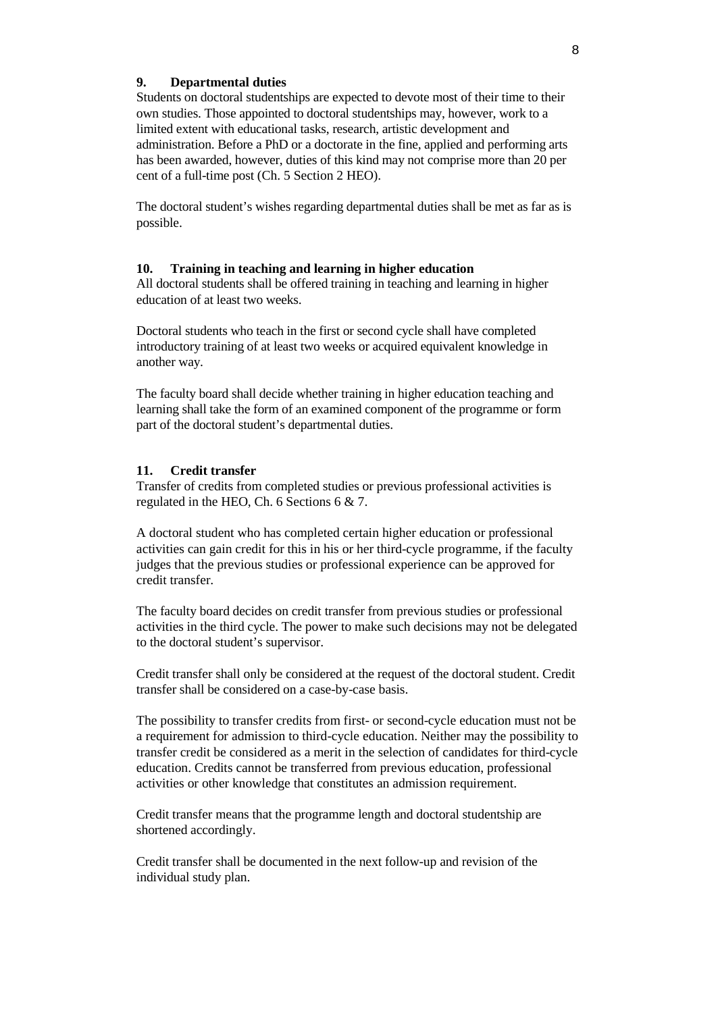### **9. Departmental duties**

Students on doctoral studentships are expected to devote most of their time to their own studies. Those appointed to doctoral studentships may, however, work to a limited extent with educational tasks, research, artistic development and administration. Before a PhD or a doctorate in the fine, applied and performing arts has been awarded, however, duties of this kind may not comprise more than 20 per cent of a full-time post (Ch. 5 Section 2 HEO).

The doctoral student's wishes regarding departmental duties shall be met as far as is possible.

### **10. Training in teaching and learning in higher education**

All doctoral students shall be offered training in teaching and learning in higher education of at least two weeks.

Doctoral students who teach in the first or second cycle shall have completed introductory training of at least two weeks or acquired equivalent knowledge in another way.

The faculty board shall decide whether training in higher education teaching and learning shall take the form of an examined component of the programme or form part of the doctoral student's departmental duties.

### **11. Credit transfer**

Transfer of credits from completed studies or previous professional activities is regulated in the HEO, Ch. 6 Sections 6 & 7.

A doctoral student who has completed certain higher education or professional activities can gain credit for this in his or her third-cycle programme, if the faculty judges that the previous studies or professional experience can be approved for credit transfer.

The faculty board decides on credit transfer from previous studies or professional activities in the third cycle. The power to make such decisions may not be delegated to the doctoral student's supervisor.

Credit transfer shall only be considered at the request of the doctoral student. Credit transfer shall be considered on a case-by-case basis.

The possibility to transfer credits from first- or second-cycle education must not be a requirement for admission to third-cycle education. Neither may the possibility to transfer credit be considered as a merit in the selection of candidates for third-cycle education. Credits cannot be transferred from previous education, professional activities or other knowledge that constitutes an admission requirement.

Credit transfer means that the programme length and doctoral studentship are shortened accordingly.

Credit transfer shall be documented in the next follow-up and revision of the individual study plan.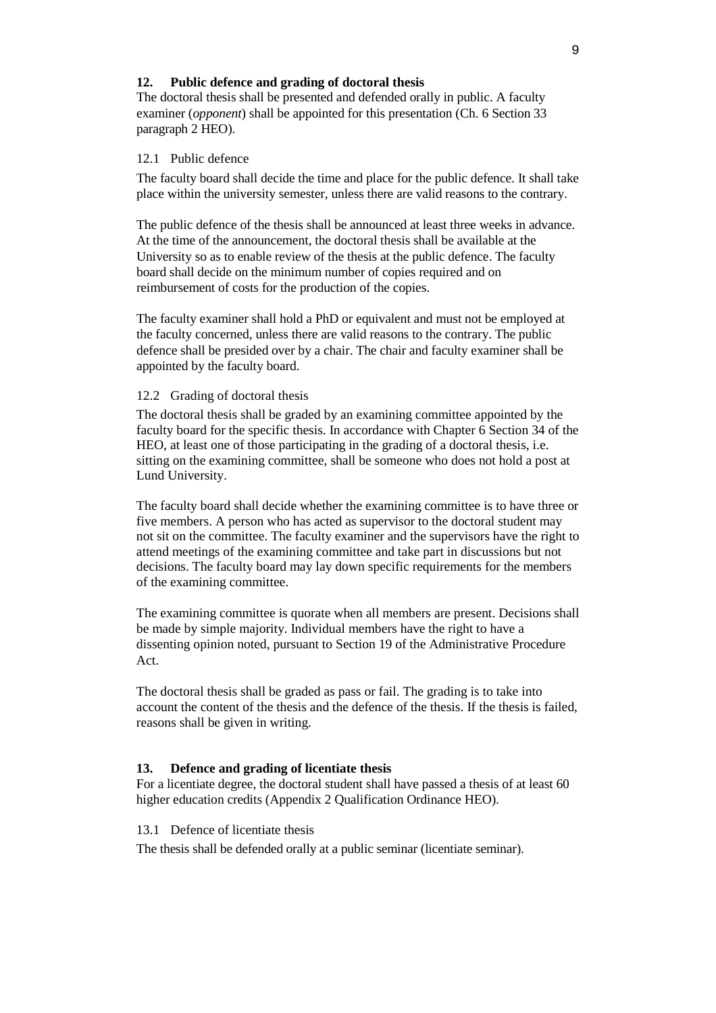## **12. Public defence and grading of doctoral thesis**

The doctoral thesis shall be presented and defended orally in public. A faculty examiner (*opponent*) shall be appointed for this presentation (Ch. 6 Section 33 paragraph 2 HEO).

## 12.1 Public defence

The faculty board shall decide the time and place for the public defence. It shall take place within the university semester, unless there are valid reasons to the contrary.

The public defence of the thesis shall be announced at least three weeks in advance. At the time of the announcement, the doctoral thesis shall be available at the University so as to enable review of the thesis at the public defence. The faculty board shall decide on the minimum number of copies required and on reimbursement of costs for the production of the copies.

The faculty examiner shall hold a PhD or equivalent and must not be employed at the faculty concerned, unless there are valid reasons to the contrary. The public defence shall be presided over by a chair. The chair and faculty examiner shall be appointed by the faculty board.

## 12.2 Grading of doctoral thesis

The doctoral thesis shall be graded by an examining committee appointed by the faculty board for the specific thesis. In accordance with Chapter 6 Section 34 of the HEO, at least one of those participating in the grading of a doctoral thesis, i.e. sitting on the examining committee, shall be someone who does not hold a post at Lund University.

The faculty board shall decide whether the examining committee is to have three or five members. A person who has acted as supervisor to the doctoral student may not sit on the committee. The faculty examiner and the supervisors have the right to attend meetings of the examining committee and take part in discussions but not decisions. The faculty board may lay down specific requirements for the members of the examining committee.

The examining committee is quorate when all members are present. Decisions shall be made by simple majority. Individual members have the right to have a dissenting opinion noted, pursuant to Section 19 of the Administrative Procedure Act.

The doctoral thesis shall be graded as pass or fail. The grading is to take into account the content of the thesis and the defence of the thesis. If the thesis is failed, reasons shall be given in writing.

## **13. Defence and grading of licentiate thesis**

For a licentiate degree, the doctoral student shall have passed a thesis of at least 60 higher education credits (Appendix 2 Qualification Ordinance HEO).

### 13.1 Defence of licentiate thesis

The thesis shall be defended orally at a public seminar (licentiate seminar).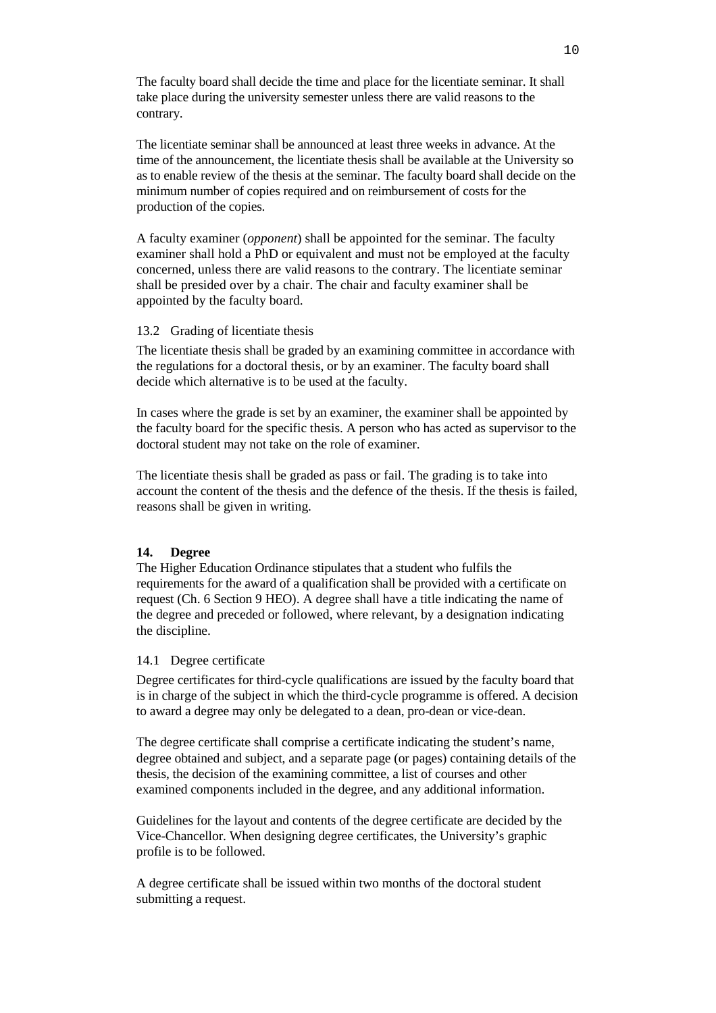The faculty board shall decide the time and place for the licentiate seminar. It shall take place during the university semester unless there are valid reasons to the contrary.

The licentiate seminar shall be announced at least three weeks in advance. At the time of the announcement, the licentiate thesis shall be available at the University so as to enable review of the thesis at the seminar. The faculty board shall decide on the minimum number of copies required and on reimbursement of costs for the production of the copies.

A faculty examiner (*opponent*) shall be appointed for the seminar. The faculty examiner shall hold a PhD or equivalent and must not be employed at the faculty concerned, unless there are valid reasons to the contrary. The licentiate seminar shall be presided over by a chair. The chair and faculty examiner shall be appointed by the faculty board.

### 13.2 Grading of licentiate thesis

The licentiate thesis shall be graded by an examining committee in accordance with the regulations for a doctoral thesis, or by an examiner. The faculty board shall decide which alternative is to be used at the faculty.

In cases where the grade is set by an examiner, the examiner shall be appointed by the faculty board for the specific thesis. A person who has acted as supervisor to the doctoral student may not take on the role of examiner.

The licentiate thesis shall be graded as pass or fail. The grading is to take into account the content of the thesis and the defence of the thesis. If the thesis is failed, reasons shall be given in writing.

#### **14. Degree**

The Higher Education Ordinance stipulates that a student who fulfils the requirements for the award of a qualification shall be provided with a certificate on request (Ch. 6 Section 9 HEO). A degree shall have a title indicating the name of the degree and preceded or followed, where relevant, by a designation indicating the discipline.

#### 14.1 Degree certificate

Degree certificates for third-cycle qualifications are issued by the faculty board that is in charge of the subject in which the third-cycle programme is offered. A decision to award a degree may only be delegated to a dean, pro-dean or vice-dean.

The degree certificate shall comprise a certificate indicating the student's name, degree obtained and subject, and a separate page (or pages) containing details of the thesis, the decision of the examining committee, a list of courses and other examined components included in the degree, and any additional information.

Guidelines for the layout and contents of the degree certificate are decided by the Vice-Chancellor. When designing degree certificates, the University's graphic profile is to be followed.

A degree certificate shall be issued within two months of the doctoral student submitting a request.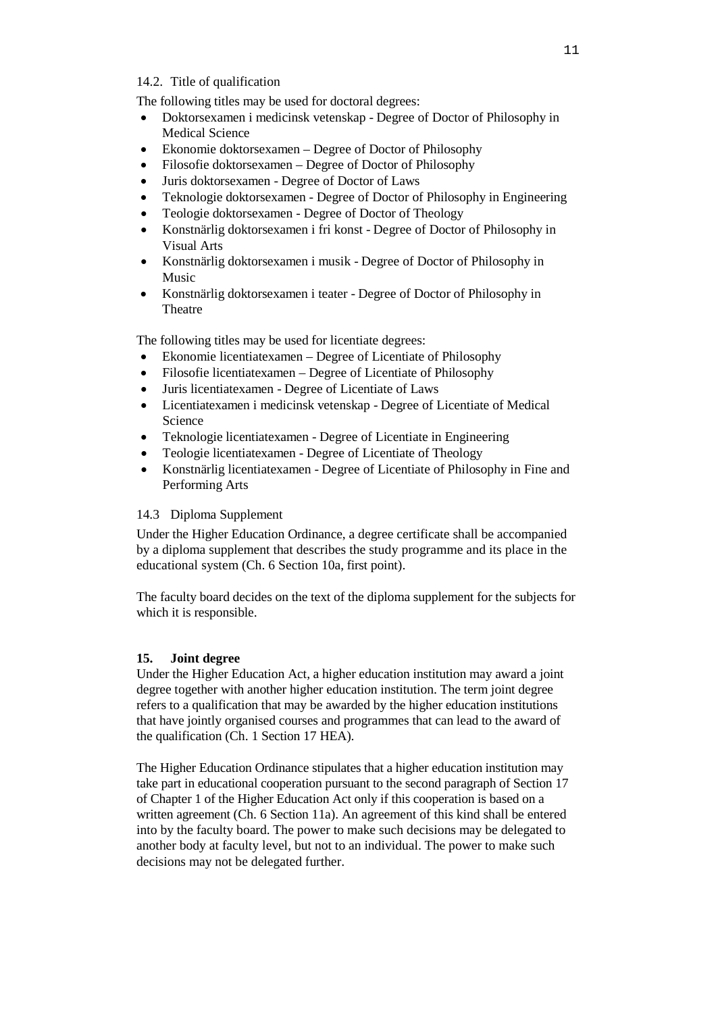## 14.2. Title of qualification

The following titles may be used for doctoral degrees:

- Doktorsexamen i medicinsk vetenskap Degree of Doctor of Philosophy in Medical Science
- Ekonomie doktorsexamen Degree of Doctor of Philosophy
- Filosofie doktorsexamen Degree of Doctor of Philosophy
- Juris doktorsexamen Degree of Doctor of Laws
- Teknologie doktorsexamen Degree of Doctor of Philosophy in Engineering
- Teologie doktorsexamen Degree of Doctor of Theology
- Konstnärlig doktorsexamen i fri konst Degree of Doctor of Philosophy in Visual Arts
- Konstnärlig doktorsexamen i musik Degree of Doctor of Philosophy in Music
- Konstnärlig doktorsexamen i teater Degree of Doctor of Philosophy in Theatre

The following titles may be used for licentiate degrees:

- Ekonomie licentiatexamen Degree of Licentiate of Philosophy
- Filosofie licentiatexamen Degree of Licentiate of Philosophy
- Juris licentiatexamen Degree of Licentiate of Laws
- Licentiatexamen i medicinsk vetenskap Degree of Licentiate of Medical Science
- Teknologie licentiatexamen Degree of Licentiate in Engineering
- Teologie licentiatexamen Degree of Licentiate of Theology
- Konstnärlig licentiatexamen Degree of Licentiate of Philosophy in Fine and Performing Arts

## 14.3 Diploma Supplement

Under the Higher Education Ordinance, a degree certificate shall be accompanied by a diploma supplement that describes the study programme and its place in the educational system (Ch. 6 Section 10a, first point).

The faculty board decides on the text of the diploma supplement for the subjects for which it is responsible.

## **15. Joint degree**

Under the Higher Education Act, a higher education institution may award a joint degree together with another higher education institution. The term joint degree refers to a qualification that may be awarded by the higher education institutions that have jointly organised courses and programmes that can lead to the award of the qualification (Ch. 1 Section 17 HEA).

The Higher Education Ordinance stipulates that a higher education institution may take part in educational cooperation pursuant to the second paragraph of Section 17 of Chapter 1 of the Higher Education Act only if this cooperation is based on a written agreement (Ch. 6 Section 11a). An agreement of this kind shall be entered into by the faculty board. The power to make such decisions may be delegated to another body at faculty level, but not to an individual. The power to make such decisions may not be delegated further.